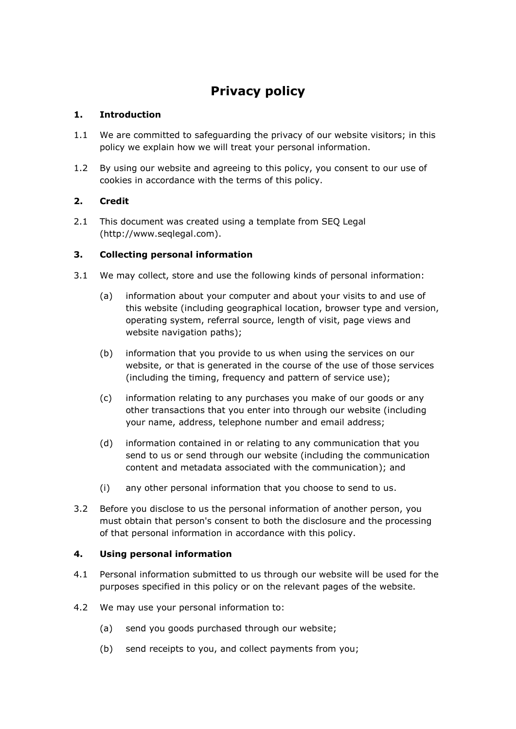# **Privacy policy**

# **1. Introduction**

- 1.1 We are committed to safeguarding the privacy of our website visitors; in this policy we explain how we will treat your personal information.
- 1.2 By using our website and agreeing to this policy, you consent to our use of cookies in accordance with the terms of this policy.

# **2. Credit**

2.1 This document was created using a template from SEQ Legal (http://www.seqlegal.com).

# **3. Collecting personal information**

- 3.1 We may collect, store and use the following kinds of personal information:
	- (a) information about your computer and about your visits to and use of this website (including geographical location, browser type and version, operating system, referral source, length of visit, page views and website navigation paths);
	- (b) information that you provide to us when using the services on our website, or that is generated in the course of the use of those services (including the timing, frequency and pattern of service use);
	- (c) information relating to any purchases you make of our goods or any other transactions that you enter into through our website (including your name, address, telephone number and email address;
	- (d) information contained in or relating to any communication that you send to us or send through our website (including the communication content and metadata associated with the communication); and
	- (i) any other personal information that you choose to send to us.
- 3.2 Before you disclose to us the personal information of another person, you must obtain that person's consent to both the disclosure and the processing of that personal information in accordance with this policy.

## **4. Using personal information**

- 4.1 Personal information submitted to us through our website will be used for the purposes specified in this policy or on the relevant pages of the website.
- 4.2 We may use your personal information to:
	- (a) send you goods purchased through our website;
	- (b) send receipts to you, and collect payments from you;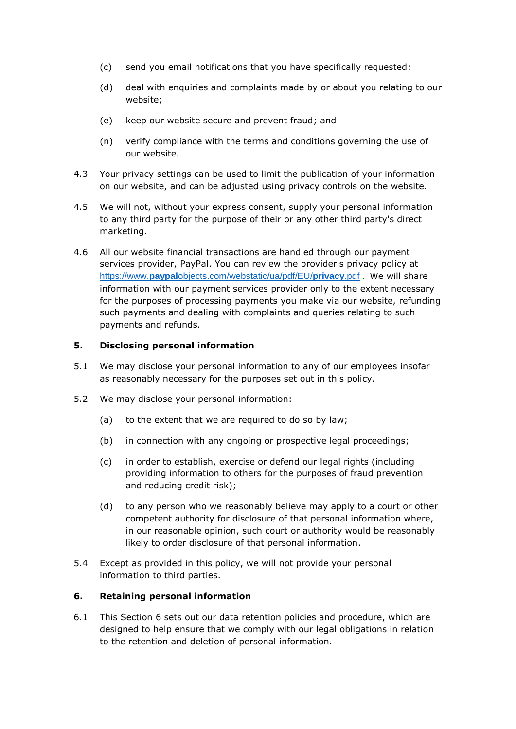- (c) send you email notifications that you have specifically requested;
- (d) deal with enquiries and complaints made by or about you relating to our website;
- (e) keep our website secure and prevent fraud; and
- (n) verify compliance with the terms and conditions governing the use of our website.
- 4.3 Your privacy settings can be used to limit the publication of your information on our website, and can be adjusted using privacy controls on the website.
- 4.5 We will not, without your express consent, supply your personal information to any third party for the purpose of their or any other third party's direct marketing.
- 4.6 All our website financial transactions are handled through our payment services provider, PayPal. You can review the provider's privacy policy at https://www.**paypal**[objects.com/webstatic/ua/pdf/EU/](https://www.paypalobjects.com/webstatic/ua/pdf/EU/privacy.pdf)**privacy**.pdf . We will share information with our payment services provider only to the extent necessary for the purposes of processing payments you make via our website, refunding such payments and dealing with complaints and queries relating to such payments and refunds.

#### **5. Disclosing personal information**

- 5.1 We may disclose your personal information to any of our employees insofar as reasonably necessary for the purposes set out in this policy.
- 5.2 We may disclose your personal information:
	- (a) to the extent that we are required to do so by law;
	- (b) in connection with any ongoing or prospective legal proceedings;
	- (c) in order to establish, exercise or defend our legal rights (including providing information to others for the purposes of fraud prevention and reducing credit risk);
	- (d) to any person who we reasonably believe may apply to a court or other competent authority for disclosure of that personal information where, in our reasonable opinion, such court or authority would be reasonably likely to order disclosure of that personal information.
- 5.4 Except as provided in this policy, we will not provide your personal information to third parties.

#### **6. Retaining personal information**

6.1 This Section 6 sets out our data retention policies and procedure, which are designed to help ensure that we comply with our legal obligations in relation to the retention and deletion of personal information.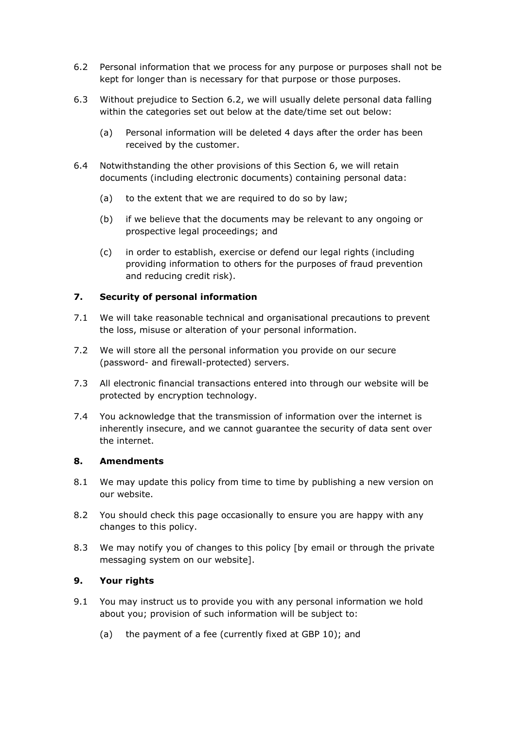- 6.2 Personal information that we process for any purpose or purposes shall not be kept for longer than is necessary for that purpose or those purposes.
- 6.3 Without prejudice to Section 6.2, we will usually delete personal data falling within the categories set out below at the date/time set out below:
	- (a) Personal information will be deleted 4 days after the order has been received by the customer.
- 6.4 Notwithstanding the other provisions of this Section 6, we will retain documents (including electronic documents) containing personal data:
	- (a) to the extent that we are required to do so by law;
	- (b) if we believe that the documents may be relevant to any ongoing or prospective legal proceedings; and
	- (c) in order to establish, exercise or defend our legal rights (including providing information to others for the purposes of fraud prevention and reducing credit risk).

## **7. Security of personal information**

- 7.1 We will take reasonable technical and organisational precautions to prevent the loss, misuse or alteration of your personal information.
- 7.2 We will store all the personal information you provide on our secure (password- and firewall-protected) servers.
- 7.3 All electronic financial transactions entered into through our website will be protected by encryption technology.
- 7.4 You acknowledge that the transmission of information over the internet is inherently insecure, and we cannot guarantee the security of data sent over the internet.

#### **8. Amendments**

- 8.1 We may update this policy from time to time by publishing a new version on our website.
- 8.2 You should check this page occasionally to ensure you are happy with any changes to this policy.
- 8.3 We may notify you of changes to this policy [by email or through the private messaging system on our website].

## **9. Your rights**

- 9.1 You may instruct us to provide you with any personal information we hold about you; provision of such information will be subject to:
	- (a) the payment of a fee (currently fixed at GBP 10); and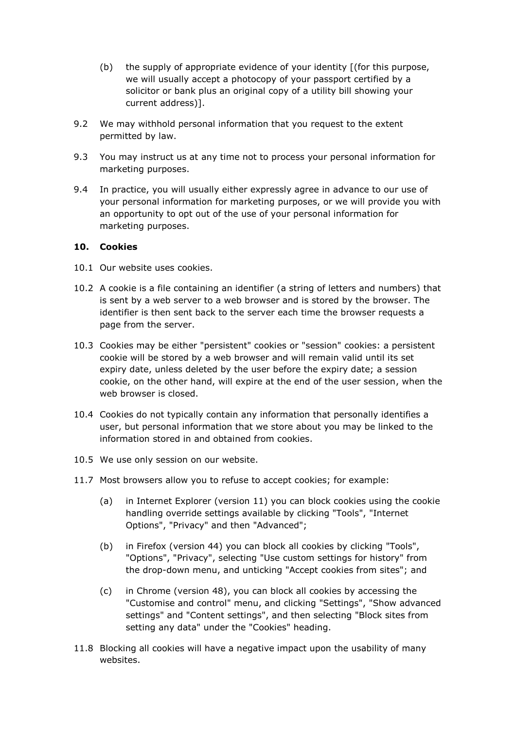- (b) the supply of appropriate evidence of your identity [(for this purpose, we will usually accept a photocopy of your passport certified by a solicitor or bank plus an original copy of a utility bill showing your current address)].
- 9.2 We may withhold personal information that you request to the extent permitted by law.
- 9.3 You may instruct us at any time not to process your personal information for marketing purposes.
- 9.4 In practice, you will usually either expressly agree in advance to our use of your personal information for marketing purposes, or we will provide you with an opportunity to opt out of the use of your personal information for marketing purposes.

#### **10. Cookies**

- 10.1 Our website uses cookies.
- 10.2 A cookie is a file containing an identifier (a string of letters and numbers) that is sent by a web server to a web browser and is stored by the browser. The identifier is then sent back to the server each time the browser requests a page from the server.
- 10.3 Cookies may be either "persistent" cookies or "session" cookies: a persistent cookie will be stored by a web browser and will remain valid until its set expiry date, unless deleted by the user before the expiry date; a session cookie, on the other hand, will expire at the end of the user session, when the web browser is closed.
- 10.4 Cookies do not typically contain any information that personally identifies a user, but personal information that we store about you may be linked to the information stored in and obtained from cookies.
- 10.5 We use only session on our website.
- 11.7 Most browsers allow you to refuse to accept cookies; for example:
	- (a) in Internet Explorer (version 11) you can block cookies using the cookie handling override settings available by clicking "Tools", "Internet Options", "Privacy" and then "Advanced";
	- (b) in Firefox (version 44) you can block all cookies by clicking "Tools", "Options", "Privacy", selecting "Use custom settings for history" from the drop-down menu, and unticking "Accept cookies from sites"; and
	- (c) in Chrome (version 48), you can block all cookies by accessing the "Customise and control" menu, and clicking "Settings", "Show advanced settings" and "Content settings", and then selecting "Block sites from setting any data" under the "Cookies" heading.
- 11.8 Blocking all cookies will have a negative impact upon the usability of many websites.